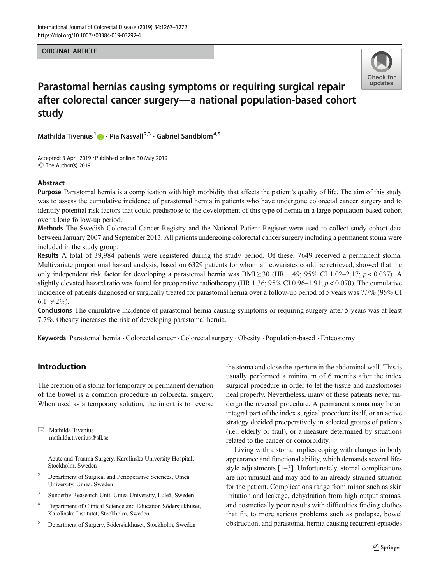#### ORIGINAL ARTICLE



# Parastomal hernias causing symptoms or requiring surgical repair after colorectal cancer surgery—a national population-based cohort study

Mathilda Tivenius<sup>1</sup>  $\bullet$  · Pia Näsvall<sup>2,3</sup> · Gabriel Sandblom<sup>4,5</sup>

Accepted: 3 April 2019 /Published online: 30 May 2019 C The Author(s) 2019

#### Abstract

Purpose Parastomal hernia is a complication with high morbidity that affects the patient's quality of life. The aim of this study was to assess the cumulative incidence of parastomal hernia in patients who have undergone colorectal cancer surgery and to identify potential risk factors that could predispose to the development of this type of hernia in a large population-based cohort over a long follow-up period.

Methods The Swedish Colorectal Cancer Registry and the National Patient Register were used to collect study cohort data between January 2007 and September 2013. All patients undergoing colorectal cancer surgery including a permanent stoma were included in the study group.

Results A total of 39,984 patients were registered during the study period. Of these, 7649 received a permanent stoma. Multivariate proportional hazard analysis, based on 6329 patients for whom all covariates could be retrieved, showed that the only independent risk factor for developing a parastomal hernia was BMI  $\geq$  30 (HR 1.49; 95% CI 1.02–2.17; p < 0.037). A slightly elevated hazard ratio was found for preoperative radiotherapy (HR 1.36; 95% CI 0.96–1.91;  $p < 0.070$ ). The cumulative incidence of patients diagnosed or surgically treated for parastomal hernia over a follow-up period of 5 years was 7.7% (95% CI  $6.1 - 9.2\%$ ).

Conclusions The cumulative incidence of parastomal hernia causing symptoms or requiring surgery after 5 years was at least 7.7%. Obesity increases the risk of developing parastomal hernia.

Keywords Parastomal hernia . Colorectal cancer . Colorectal surgery . Obesity . Population-based . Enteostomy

# Introduction

The creation of a stoma for temporary or permanent deviation of the bowel is a common procedure in colorectal surgery. When used as a temporary solution, the intent is to reverse

 $\boxtimes$  Mathilda Tivenius [mathilda.tivenius@sll.se](mailto:mathilda.tivenius@sll.se)

- <sup>1</sup> Acute and Trauma Surgery, Karolinska University Hospital, Stockholm, Sweden
- <sup>2</sup> Department of Surgical and Perioperative Sciences, Umeå University, Umeå, Sweden
- <sup>3</sup> Sunderby Reasearch Unit, Umeå University, Luleå, Sweden
- <sup>4</sup> Department of Clinical Science and Education Södersjukhuset, Karolinska Institutet, Stockholm, Sweden
- <sup>5</sup> Department of Surgery, Södersjukhuset, Stockholm, Sweden

the stoma and close the aperture in the abdominal wall. This is usually performed a minimum of 6 months after the index surgical procedure in order to let the tissue and anastomoses heal properly. Nevertheless, many of these patients never undergo the reversal procedure. A permanent stoma may be an integral part of the index surgical procedure itself, or an active strategy decided preoperatively in selected groups of patients (i.e., elderly or frail), or a measure determined by situations related to the cancer or comorbidity.

Living with a stoma implies coping with changes in body appearance and functional ability, which demands several lifestyle adjustments  $[1-3]$  $[1-3]$  $[1-3]$  $[1-3]$ . Unfortunately, stomal complications are not unusual and may add to an already strained situation for the patient. Complications range from minor such as skin irritation and leakage, dehydration from high output stomas, and cosmetically poor results with difficulties finding clothes that fit, to more serious problems such as prolapse, bowel obstruction, and parastomal hernia causing recurrent episodes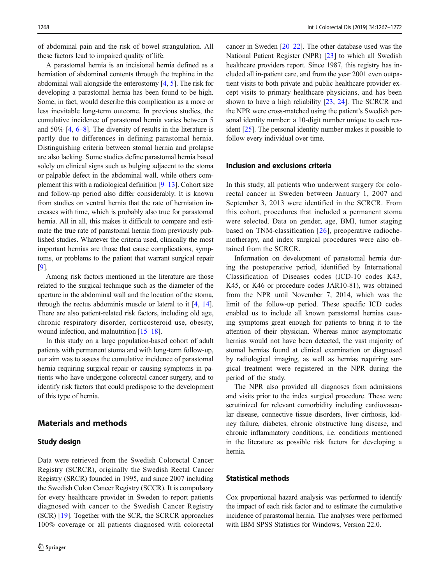of abdominal pain and the risk of bowel strangulation. All these factors lead to impaired quality of life.

A parastomal hernia is an incisional hernia defined as a herniation of abdominal contents through the trephine in the abdominal wall alongside the enterostomy [[4,](#page-4-0) [5](#page-4-0)]. The risk for developing a parastomal hernia has been found to be high. Some, in fact, would describe this complication as a more or less inevitable long-term outcome. In previous studies, the cumulative incidence of parastomal hernia varies between 5 and 50% [\[4](#page-4-0), [6](#page-4-0)–[8](#page-4-0)]. The diversity of results in the literature is partly due to differences in defining parastomal hernia. Distinguishing criteria between stomal hernia and prolapse are also lacking. Some studies define parastomal hernia based solely on clinical signs such as bulging adjacent to the stoma or palpable defect in the abdominal wall, while others complement this with a radiological definition  $[9-13]$  $[9-13]$  $[9-13]$  $[9-13]$  $[9-13]$ . Cohort size and follow-up period also differ considerably. It is known from studies on ventral hernia that the rate of herniation increases with time, which is probably also true for parastomal hernia. All in all, this makes it difficult to compare and estimate the true rate of parastomal hernia from previously published studies. Whatever the criteria used, clinically the most important hernias are those that cause complications, symptoms, or problems to the patient that warrant surgical repair [\[9\]](#page-4-0).

Among risk factors mentioned in the literature are those related to the surgical technique such as the diameter of the aperture in the abdominal wall and the location of the stoma, through the rectus abdominis muscle or lateral to it [\[4,](#page-4-0) [14\]](#page-4-0). There are also patient-related risk factors, including old age, chronic respiratory disorder, corticosteroid use, obesity, wound infection, and malnutrition [[15](#page-4-0)–[18](#page-5-0)].

In this study on a large population-based cohort of adult patients with permanent stoma and with long-term follow-up, our aim was to assess the cumulative incidence of parastomal hernia requiring surgical repair or causing symptoms in patients who have undergone colorectal cancer surgery, and to identify risk factors that could predispose to the development of this type of hernia.

# Materials and methods

#### Study design

Data were retrieved from the Swedish Colorectal Cancer Registry (SCRCR), originally the Swedish Rectal Cancer Registry (SRCR) founded in 1995, and since 2007 including the Swedish Colon Cancer Registry (SCCR). It is compulsory for every healthcare provider in Sweden to report patients diagnosed with cancer to the Swedish Cancer Registry (SCR) [[19\]](#page-5-0). Together with the SCR, the SCRCR approaches 100% coverage or all patients diagnosed with colorectal cancer in Sweden [\[20](#page-5-0)–[22\]](#page-5-0). The other database used was the National Patient Register (NPR) [\[23](#page-5-0)] to which all Swedish healthcare providers report. Since 1987, this registry has included all in-patient care, and from the year 2001 even outpatient visits to both private and public healthcare provider except visits to primary healthcare physicians, and has been shown to have a high reliability [\[23,](#page-5-0) [24\]](#page-5-0). The SCRCR and the NPR were cross-matched using the patient's Swedish personal identity number: a 10-digit number unique to each resident [\[25\]](#page-5-0). The personal identity number makes it possible to follow every individual over time.

#### Inclusion and exclusions criteria

In this study, all patients who underwent surgery for colorectal cancer in Sweden between January 1, 2007 and September 3, 2013 were identified in the SCRCR. From this cohort, procedures that included a permanent stoma were selected. Data on gender, age, BMI, tumor staging based on TNM-classification [\[26\]](#page-5-0), preoperative radiochemotherapy, and index surgical procedures were also obtained from the SCRCR.

Information on development of parastomal hernia during the postoperative period, identified by International Classification of Diseases codes (ICD-10 codes K43, K45, or K46 or procedure codes JAR10-81), was obtained from the NPR until November 7, 2014, which was the limit of the follow-up period. These specific ICD codes enabled us to include all known parastomal hernias causing symptoms great enough for patients to bring it to the attention of their physician. Whereas minor asymptomatic hernias would not have been detected, the vast majority of stomal hernias found at clinical examination or diagnosed by radiological imaging, as well as hernias requiring surgical treatment were registered in the NPR during the period of the study.

The NPR also provided all diagnoses from admissions and visits prior to the index surgical procedure. These were scrutinized for relevant comorbidity including cardiovascular disease, connective tissue disorders, liver cirrhosis, kidney failure, diabetes, chronic obstructive lung disease, and chronic inflammatory conditions, i.e. conditions mentioned in the literature as possible risk factors for developing a hernia.

## Statistical methods

Cox proportional hazard analysis was performed to identify the impact of each risk factor and to estimate the cumulative incidence of parastomal hernia. The analyses were performed with IBM SPSS Statistics for Windows, Version 22.0.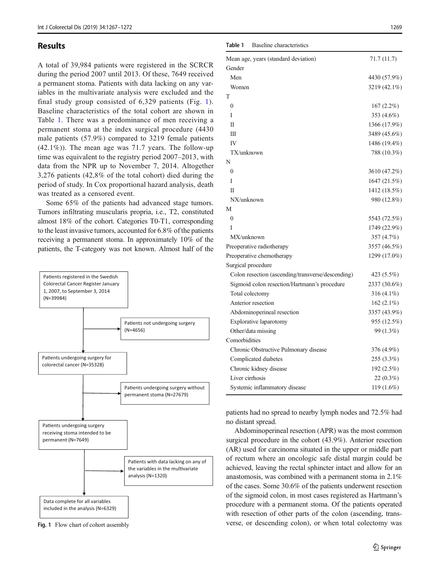### Results

A total of 39,984 patients were registered in the SCRCR during the period 2007 until 2013. Of these, 7649 received a permanent stoma. Patients with data lacking on any variables in the multivariate analysis were excluded and the final study group consisted of 6,329 patients (Fig. 1). Baseline characteristics of the total cohort are shown in Table 1. There was a predominance of men receiving a permanent stoma at the index surgical procedure (4430 male patients (57.9%) compared to 3219 female patients (42.1%)). The mean age was 71.7 years. The follow-up time was equivalent to the registry period 2007–2013, with data from the NPR up to November 7, 2014. Altogether 3,276 patients (42,8% of the total cohort) died during the period of study. In Cox proportional hazard analysis, death was treated as a censored event.

Some 65% of the patients had advanced stage tumors. Tumors infiltrating muscularis propria, i.e., T2, constituted almost 18% of the cohort. Categories T0-T1, corresponding to the least invasive tumors, accounted for 6.8% of the patients receiving a permanent stoma. In approximately 10% of the patients, the T-category was not known. Almost half of the



Fig. 1 Flow chart of cohort assembly

Table 1 Baseline characteristics

| Mean age, years (standard deviation)              | 71.7(11.7)    |
|---------------------------------------------------|---------------|
| Gender                                            |               |
| Men                                               | 4430 (57.9%)  |
| Women                                             | 3219 (42.1%)  |
| T                                                 |               |
| $\theta$                                          | $167(2.2\%)$  |
| T                                                 | 353 (4.6%)    |
| $\mathbf I$                                       | 1366 (17.9%)  |
| Ш                                                 | 3489 (45.6%)  |
| IV                                                | 1486 (19.4%)  |
| TX/unknown                                        | 788 (10.3%)   |
| N                                                 |               |
| $\theta$                                          | 3610 (47.2%)  |
| T                                                 | 1647 (21.5%)  |
| П                                                 | 1412 (18.5%)  |
| NX/unknown                                        | 980 (12.8%)   |
| М                                                 |               |
| $\theta$                                          | 5543 (72.5%)  |
| T                                                 | 1749 (22.9%)  |
| MX/unknown                                        | 357 (4.7%)    |
| Preoperative radiotherapy                         | 3557 (46.5%)  |
| Preoperative chemotherapy                         | 1299 (17.0%)  |
| Surgical procedure                                |               |
| Colon resection (ascending/transverse/descending) | 423 (5.5%)    |
| Sigmoid colon resection/Hartmann's procedure      | 2337 (30.6%)  |
| Total colectomy                                   | 316 (4.1%)    |
| Anterior resection                                | 162 $(2.1\%)$ |
| Abdominoperineal resection                        | 3357 (43.9%)  |
| Explorative laparotomy                            | 955 (12.5%)   |
| Other/data missing                                | 99 (1.3%)     |
| Comorbidities                                     |               |
| Chronic Obstructive Pulmonary disease             | 376 (4.9%)    |
| Complicated diabetes                              | 255 (3.3%)    |
| Chronic kidney disease                            | 192 (2.5%)    |
| Liver cirrhosis                                   | 22 (0.3%)     |
| Systemic inflammatory disease                     | 119 (1.6%)    |
|                                                   |               |

patients had no spread to nearby lymph nodes and 72.5% had no distant spread.

Abdominoperineal resection (APR) was the most common surgical procedure in the cohort (43.9%). Anterior resection (AR) used for carcinoma situated in the upper or middle part of rectum where an oncologic safe distal margin could be achieved, leaving the rectal sphincter intact and allow for an anastomosis, was combined with a permanent stoma in 2.1% of the cases. Some 30.6% of the patients underwent resection of the sigmoid colon, in most cases registered as Hartmann's procedure with a permanent stoma. Of the patients operated with resection of other parts of the colon (ascending, transverse, or descending colon), or when total colectomy was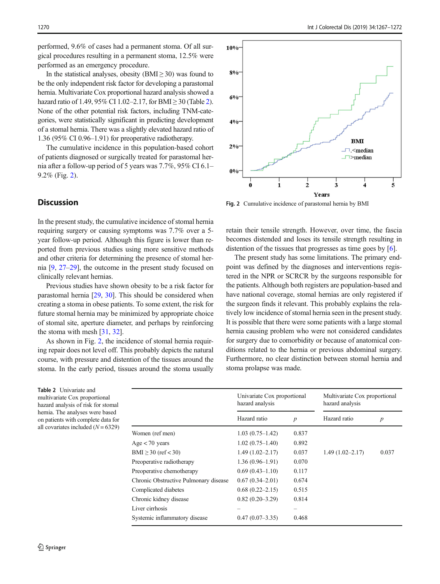performed, 9.6% of cases had a permanent stoma. Of all surgical procedures resulting in a permanent stoma, 12.5% were performed as an emergency procedure.

In the statistical analyses, obesity ( $BMI \geq 30$ ) was found to be the only independent risk factor for developing a parastomal hernia. Multivariate Cox proportional hazard analysis showed a hazard ratio of 1.49, 95% CI 1.02–2.17, for BMI  $\geq$  30 (Table 2). None of the other potential risk factors, including TNM-categories, were statistically significant in predicting development of a stomal hernia. There was a slightly elevated hazard ratio of 1.36 (95% CI 0.96–1.91) for preoperative radiotherapy.

The cumulative incidence in this population-based cohort of patients diagnosed or surgically treated for parastomal hernia after a follow-up period of 5 years was 7.7%, 95% CI 6.1– 9.2% (Fig. 2).

# **Discussion**

In the present study, the cumulative incidence of stomal hernia requiring surgery or causing symptoms was 7.7% over a 5 year follow-up period. Although this figure is lower than reported from previous studies using more sensitive methods and other criteria for determining the presence of stomal hernia [\[9](#page-4-0), [27](#page-5-0)–[29](#page-5-0)], the outcome in the present study focused on clinically relevant hernias.

Previous studies have shown obesity to be a risk factor for parastomal hernia [\[29,](#page-5-0) [30](#page-5-0)]. This should be considered when creating a stoma in obese patients. To some extent, the risk for future stomal hernia may be minimized by appropriate choice of stomal site, aperture diameter, and perhaps by reinforcing the stoma with mesh [\[31](#page-5-0), [32](#page-5-0)].

As shown in Fig. 2, the incidence of stomal hernia requiring repair does not level off. This probably depicts the natural course, with pressure and distention of the tissues around the stoma. In the early period, tissues around the stoma usually

Table 2 Univariate and multivariate Cox proportional hazard analysis of risk for stomal hernia. The analyses were based on patients with complete data for all covariates included  $(N = 6329)$ 



Fig. 2 Cumulative incidence of parastomal hernia by BMI

retain their tensile strength. However, over time, the fascia becomes distended and loses its tensile strength resulting in distention of the tissues that progresses as time goes by [\[6](#page-4-0)].

The present study has some limitations. The primary endpoint was defined by the diagnoses and interventions registered in the NPR or SCRCR by the surgeons responsible for the patients. Although both registers are population-based and have national coverage, stomal hernias are only registered if the surgeon finds it relevant. This probably explains the relatively low incidence of stomal hernia seen in the present study. It is possible that there were some patients with a large stomal hernia causing problem who were not considered candidates for surgery due to comorbidity or because of anatomical conditions related to the hernia or previous abdominal surgery. Furthermore, no clear distinction between stomal hernia and stoma prolapse was made.

|                                       | Univariate Cox proportional<br>hazard analysis |                  | Multivariate Cox proportional<br>hazard analysis |                  |
|---------------------------------------|------------------------------------------------|------------------|--------------------------------------------------|------------------|
|                                       | Hazard ratio                                   | $\boldsymbol{p}$ | Hazard ratio                                     | $\boldsymbol{p}$ |
| Women (ref men)                       | $1.03(0.75-1.42)$                              | 0.837            |                                                  |                  |
| $Age < 70$ years                      | $1.02(0.75-1.40)$                              | 0.892            |                                                  |                  |
| BMI $\geq$ 30 (ref < 30)              | $1.49(1.02 - 2.17)$                            | 0.037            | $1.49(1.02 - 2.17)$                              | 0.037            |
| Preoperative radiotherapy             | $1.36(0.96-1.91)$                              | 0.070            |                                                  |                  |
| Preoperative chemotherapy             | $0.69(0.43 - 1.10)$                            | 0.117            |                                                  |                  |
| Chronic Obstructive Pulmonary disease | $0.67(0.34 - 2.01)$                            | 0.674            |                                                  |                  |
| Complicated diabetes                  | $0.68(0.22 - 2.15)$                            | 0.515            |                                                  |                  |
| Chronic kidney disease                | $0.82(0.20-3.29)$                              | 0.814            |                                                  |                  |
| Liver cirrhosis                       |                                                |                  |                                                  |                  |
| Systemic inflammatory disease         | $0.47(0.07-3.35)$                              | 0.468            |                                                  |                  |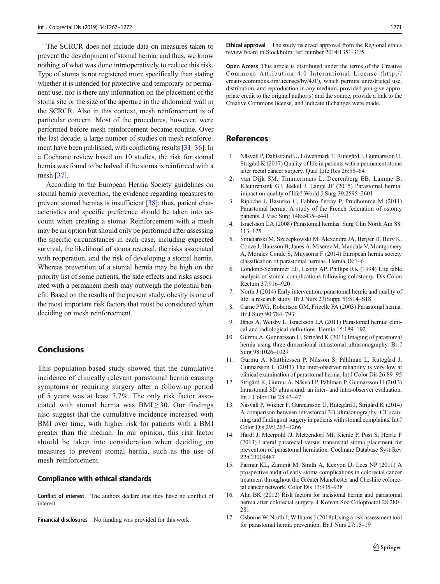<span id="page-4-0"></span>The SCRCR does not include data on measures taken to prevent the development of stomal hernia, and thus, we know nothing of what was done intraoperatively to reduce this risk. Type of stoma is not registered more specifically than stating whether it is intended for protective and temporary or permanent use, nor is there any information on the placement of the stoma site or the size of the aperture in the abdominal wall in the SCRCR. Also in this context, mesh reinforcement is of particular concern. Most of the procedures, however, were performed before mesh reinforcement became routine. Over the last decade, a large number of studies on mesh reinforcement have been published, with conflicting results [[31](#page-5-0)–[36](#page-5-0)]. In a Cochrane review based on 10 studies, the risk for stomal hernia was found to be halved if the stoma is reinforced with a mesh [\[37](#page-5-0)].

According to the European Hernia Society guidelines on stomal hernia prevention, the evidence regarding measures to prevent stomal hernias is insufficient [[38\]](#page-5-0); thus, patient characteristics and specific preference should be taken into account when creating a stoma. Reinforcement with a mesh may be an option but should only be performed after assessing the specific circumstances in each case, including expected survival, the likelihood of stoma reversal, the risks associated with reoperation, and the risk of developing a stomal hernia. Whereas prevention of a stomal hernia may be high on the priority list of some patients, the side effects and risks associated with a permanent mesh may outweigh the potential benefit. Based on the results of the present study, obesity is one of the most important risk factors that must be considered when deciding on mesh reinforcement.

## Conclusions

This population-based study showed that the cumulative incidence of clinically relevant parastomal hernia causing symptoms or requiring surgery after a follow-up period of 5 years was at least 7.7%. The only risk factor associated with stomal hernia was  $BMI \geq 30$ . Our findings also suggest that the cumulative incidence increased with BMI over time, with higher risk for patients with a BMI greater than the median. In our opinion, this risk factor should be taken into consideration when deciding on measures to prevent stomal hernia, such as the use of mesh reinforcement.

#### Compliance with ethical standards

Conflict of interest The authors declare that they have no conflict of interest.

Financial disclosures No funding was provided for this work.

Ethical approval The study received approval from the Regional ethics review board in Stockholm, ref. number 2014/1351-31/5.

Open Access This article is distributed under the terms of the Creative Commons Attribution 4.0 International License (http:// creativecommons.org/licenses/by/4.0/), which permits unrestricted use, distribution, and reproduction in any medium, provided you give appropriate credit to the original author(s) and the source, provide a link to the Creative Commons license, and indicate if changes were made.

## References

- 1. Näsvall P, Dahlstrand U, Löwenmark T, Rutegård J, Gunnarsson U, Strigård K (2017) Quality of life in patients with a permanent stoma after rectal cancer surgery. Qual Life Res 26:55–64
- 2. van Dijk SM, Timmermans L, Deerenberg EB, Lamme B, Kleinrensink GJ, Jeekel J, Lange JF (2015) Parastomal hernia: impact on quality of life? World J Surg 39:2595–2601
- 3. Ripoche J, Basurko C, Fabbro-Perray P, Prudhomme M (2011) Parastomal hernia. A study of the French federation of ostomy patients. J Visc Surg 148:e435–e441
- 4. Israelsson LA (2008) Parastomal hernias. Surg Clin North Am 88: 113–125
- 5. Śmietański M, Szczepkowski M, Alexandre JA, Berger D, Bury K, Conze J, Hansson B, Janes A, Miserez M, Mandala V, Montgomery A, Morales Conde S, Muysoms F (2014) European hernia society classification of parastomal hernias. Hernia 18:1–6
- 6. Londono-Schimmer EE, Leong AP, Phillips RK (1994) Life table analysis of stomal complications following colostomy. Dis Colon Rectum 37:916–920
- 7. North J (2014) Early intervention, parastomal hernia and quality of life: a research study. Br J Nurs 23(Suppl 5):S14–S18
- 8. Carne PWG, Robertson GM, Frizelle FA (2003) Parastomal hernia. Br J Surg 90:784–793
- 9. Jänes A, Weisby L, Israelsson LA (2011) Parastomal hernia: clinical and radiological definitions. Hernia 15:189–192
- 10. Gurmu A, Gunnarsson U, Strigård K (2011) Imaging of parastomal hernia using three-dimensional intrastomal ultrasonography. Br J Surg 98:1026–1029
- 11. Gurmu A, Matthiessen P, Nilsson S, Påhlman L, Rutegård J, Gunnarsson U (2011) The inter-observer reliability is very low at clinical examination of parastomal hernia. Int J Color Dis 26:89–95
- 12. Strigård K, Gurmu A, Näsvall P, Påhlman P, Gunnarsson U (2013) Intrastomal 3D ultrasound; an inter- and intra-observer evaluation. Int J Color Dis 28:43–47
- 13. Näsvall P, Wikner F, Gunnarsson U, Rutegård J, Strigård K (2014) A comparison between intrastomal 3D ultrasonography, CT scanning and findings at surgery in patients with stomal complaints. Int J Color Dis 29:1263–1266
- 14. Hardt J, Meerpohl JJ, Metzendorf MI, Kienle P, Post S, Herrle F (2013) Lateral pararectal versus transrectal stoma placement for prevention of parastomal herniation. Cochrane Database Syst Rev 22:CD009487
- 15. Parmar KL, Zammit M, Smith A, Kenyon D, Lees NP (2011) A prospective audit of early stoma complications in colorectal cancer treatment throughout the Greater Manchester and Cheshire colorectal cancer network. Color Dis 13:935–938
- 16. Ahn BK (2012) Risk factors for incisional hernia and parastomal hernia after colorectal surgery. J Korean Soc Coloproctol 28:280– 281
- 17. Osborne W, North J, Williams J (2018) Using a risk assessment tool for parastomal hernia prevention. Br J Nurs 27:15–19